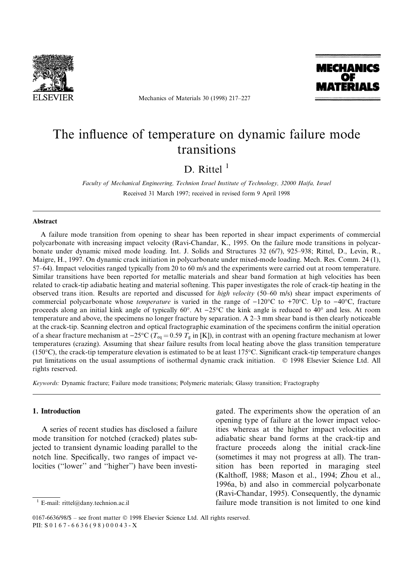

Mechanics of Materials 30 (1998) 217-227



# The influence of temperature on dynamic failure mode transitions

D. Rittel  $<sup>1</sup>$ </sup>

Faculty of Mechanical Engineering, Technion Israel Institute of Technology, 32000 Haifa, Israel Received 31 March 1997; received in revised form 9 April 1998

### **Abstract**

A failure mode transition from opening to shear has been reported in shear impact experiments of commercial polycarbonate with increasing impact velocity (Ravi-Chandar, K., 1995. On the failure mode transitions in polycarbonate under dynamic mixed mode loading. Int. J. Solids and Structures 32 (6/7), 925-938; Rittel, D., Levin, R., Maigre, H., 1997. On dynamic crack initiation in polycarbonate under mixed-mode loading. Mech. Res. Comm. 24 (1), 57–64). Impact velocities ranged typically from 20 to 60 m/s and the experiments were carried out at room temperature. Similar transitions have been reported for metallic materials and shear band formation at high velocities has been related to crack-tip adiabatic heating and material softening. This paper investigates the role of crack-tip heating in the observed trans ition. Results are reported and discussed for *high velocity* (50–60 m/s) shear impact experiments of commercial polycarbonate whose *temperature* is varied in the range of  $-120^{\circ}\text{C}$  to  $+70^{\circ}\text{C}$ . Up to  $-40^{\circ}\text{C}$ , fracture proceeds along an initial kink angle of typically  $60^\circ$ . At  $-25^\circ$ C the kink angle is reduced to  $40^\circ$  and less. At room temperature and above, the specimens no longer fracture by separation. A 2–3 mm shear band is then clearly noticeable at the crack-tip. Scanning electron and optical fractographic examination of the specimens confirm the initial operation of a shear fracture mechanism at  $-25^{\circ}\text{C}$  ( $T_{\text{eq}} = 0.59$   $T_{\text{g}}$  in [K]), in contrast with an opening fracture mechanism at lower temperatures (crazing). Assuming that shear failure results from local heating above the glass transition temperature (150°C), the crack-tip temperature elevation is estimated to be at least 175°C. Significant crack-tip temperature changes put limitations on the usual assumptions of isothermal dynamic crack initiation. © 1998 Elsevier Science Ltd. All rights reserved.

Keywords: Dynamic fracture; Failure mode transitions; Polymeric materials; Glassy transition; Fractography

# 1. Introduction

A series of recent studies has disclosed a failure mode transition for notched (cracked) plates subjected to transient dynamic loading parallel to the notch line. Specifically, two ranges of impact velocities ("lower" and "higher") have been investi-

E-mail: rittel@dany.technion.ac.il

gated. The experiments show the operation of an opening type of failure at the lower impact velocities whereas at the higher impact velocities an adiabatic shear band forms at the crack-tip and fracture proceeds along the initial crack-line (sometimes it may not progress at all). The transition has been reported in maraging steel (Kalthoff, 1988; Mason et al., 1994; Zhou et al., 1996a, b) and also in commercial polycarbonate (Ravi-Chandar, 1995). Consequently, the dynamic failure mode transition is not limited to one kind

<sup>0167-6636/98/\$ –</sup> see front matter  $\odot$  1998 Elsevier Science Ltd. All rights reserved. PII: S 0 1 6 7 - 6 6 3 6 ( 9 8 ) 0 0 0 4 3 - X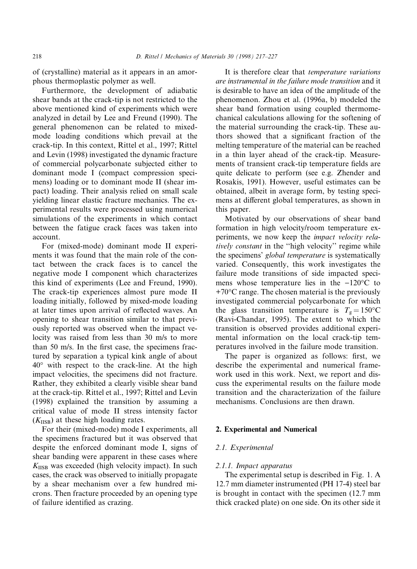of (crystalline) material as it appears in an amorphous thermoplastic polymer as well.

Furthermore, the development of adiabatic shear bands at the crack-tip is not restricted to the above mentioned kind of experiments which were analyzed in detail by Lee and Freund (1990). The general phenomenon can be related to mixedmode loading conditions which prevail at the crack-tip. In this context, Rittel et al., 1997; Rittel and Levin (1998) investigated the dynamic fracture of commercial polycarbonate subjected either to dominant mode I (compact compression specimens) loading or to dominant mode II (shear impact) loading. Their analysis relied on small scale yielding linear elastic fracture mechanics. The experimental results were processed using numerical simulations of the experiments in which contact between the fatigue crack faces was taken into account.

For (mixed-mode) dominant mode II experiments it was found that the main role of the contact between the crack faces is to cancel the negative mode I component which characterizes this kind of experiments (Lee and Freund, 1990). The crack-tip experiences almost pure mode II loading initially, followed by mixed-mode loading at later times upon arrival of reflected waves. An opening to shear transition similar to that previously reported was observed when the impact velocity was raised from less than 30 m/s to more than 50 m/s. In the first case, the specimens fractured by separation a typical kink angle of about 40° with respect to the crack-line. At the high impact velocities, the specimens did not fracture. Rather, they exhibited a clearly visible shear band at the crack-tip. Rittel et al., 1997; Rittel and Levin (1998) explained the transition by assuming a critical value of mode II stress intensity factor  $(K<sub>IISB</sub>)$  at these high loading rates.

For their (mixed-mode) mode I experiments, all the specimens fractured but it was observed that despite the enforced dominant mode I, signs of shear banding were apparent in these cases where  $K_{\text{IISB}}$  was exceeded (high velocity impact). In such cases, the crack was observed to initially propagate by a shear mechanism over a few hundred microns. Then fracture proceeded by an opening type of failure identified as crazing.

It is therefore clear that temperature variations are instrumental in the failure mode transition and it is desirable to have an idea of the amplitude of the phenomenon. Zhou et al. (1996a, b) modeled the shear band formation using coupled thermomechanical calculations allowing for the softening of the material surrounding the crack-tip. These authors showed that a significant fraction of the melting temperature of the material can be reached in a thin layer ahead of the crack-tip. Measurements of transient crack-tip temperature fields are quite delicate to perform (see e.g. Zhender and Rosakis, 1991). However, useful estimates can be obtained, albeit in average form, by testing specimens at different global temperatures, as shown in this paper.

Motivated by our observations of shear band formation in high velocity/room temperature experiments, we now keep the impact velocity relatively constant in the "high velocity" regime while the specimens' global temperature is systematically varied. Consequently, this work investigates the failure mode transitions of side impacted specimens whose temperature lies in the  $-120^{\circ}$ C to  $+70^{\circ}$ C range. The chosen material is the previously investigated commercial polycarbonate for which the glass transition temperature is  $T_g = 150^{\circ}$ C (Ravi-Chandar, 1995). The extent to which the transition is observed provides additional experimental information on the local crack-tip temperatures involved in the failure mode transition.

The paper is organized as follows: first, we describe the experimental and numerical framework used in this work. Next, we report and discuss the experimental results on the failure mode transition and the characterization of the failure mechanisms. Conclusions are then drawn.

## 2. Experimental and Numerical

## 2.1. Experimental

#### 2.1.1. Impact apparatus

The experimental setup is described in Fig. 1. A 12.7 mm diameter instrumented (PH 17-4) steel bar is brought in contact with the specimen (12.7 mm thick cracked plate) on one side. On its other side it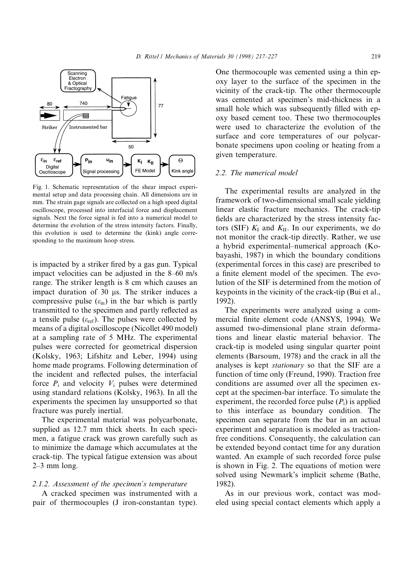

Fig. 1. Schematic representation of the shear impact experimental setup and data processing chain. All dimensions are in mm. The strain gage signals are collected on a high speed digital oscilloscope, processed into interfacial force and displacement signals. Next the force signal is fed into a numerical model to determine the evolution of the stress intensity factors. Finally, this evolution is used to determine the (kink) angle corresponding to the maximum hoop stress.

is impacted by a striker fired by a gas gun. Typical impact velocities can be adjusted in the  $8-60$  m/s range. The striker length is 8 cm which causes an impact duration of  $30 \mu s$ . The striker induces a compressive pulse  $(\varepsilon_{\text{in}})$  in the bar which is partly transmitted to the specimen and partly reflected as a tensile pulse  $(\varepsilon_{ref})$ . The pulses were collected by means of a digital oscilloscope (Nicollet 490 model) at a sampling rate of 5 MHz. The experimental pulses were corrected for geometrical dispersion (Kolsky, 1963; Lifshitz and Leber, 1994) using home made programs. Following determination of the incident and reflected pulses, the interfacial force  $P_i$  and velocity  $V_i$  pulses were determined using standard relations (Kolsky, 1963). In all the experiments the specimen lay unsupported so that fracture was purely inertial.

The experimental material was polycarbonate, supplied as 12.7 mm thick sheets. In each specimen, a fatigue crack was grown carefully such as to minimize the damage which accumulates at the crack-tip. The typical fatigue extension was about  $2-3$  mm long.

## 2.1.2. Assessment of the specimen's temperature

A cracked specimen was instrumented with a pair of thermocouples (J iron-constantan type). One thermocouple was cemented using a thin epoxy layer to the surface of the specimen in the vicinity of the crack-tip. The other thermocouple was cemented at specimen's mid-thickness in a small hole which was subsequently filled with epoxy based cement too. These two thermocouples were used to characterize the evolution of the surface and core temperatures of our polycarbonate specimens upon cooling or heating from a given temperature.

#### 2.2. The numerical model

The experimental results are analyzed in the framework of two-dimensional small scale yielding linear elastic fracture mechanics. The crack-tip fields are characterized by the stress intensity factors (SIF)  $K_I$  and  $K_{II}$ . In our experiments, we do not monitor the crack-tip directly. Rather, we use a hybrid experimental-numerical approach (Kobayashi, 1987) in which the boundary conditions (experimental forces in this case) are prescribed to a finite element model of the specimen. The evolution of the SIF is determined from the motion of keypoints in the vicinity of the crack-tip (Bui et al., 1992).

The experiments were analyzed using a commercial finite element code (ANSYS, 1994). We assumed two-dimensional plane strain deformations and linear elastic material behavior. The crack-tip is modeled using singular quarter point elements (Barsoum, 1978) and the crack in all the analyses is kept stationary so that the SIF are a function of time only (Freund, 1990). Traction free conditions are assumed over all the specimen except at the specimen-bar interface. To simulate the experiment, the recorded force pulse  $(P_i)$  is applied to this interface as boundary condition. The specimen can separate from the bar in an actual experiment and separation is modeled as tractionfree conditions. Consequently, the calculation can be extended beyond contact time for any duration wanted. An example of such recorded force pulse is shown in Fig. 2. The equations of motion were solved using Newmark's implicit scheme (Bathe, 1982).

As in our previous work, contact was modeled using special contact elements which apply a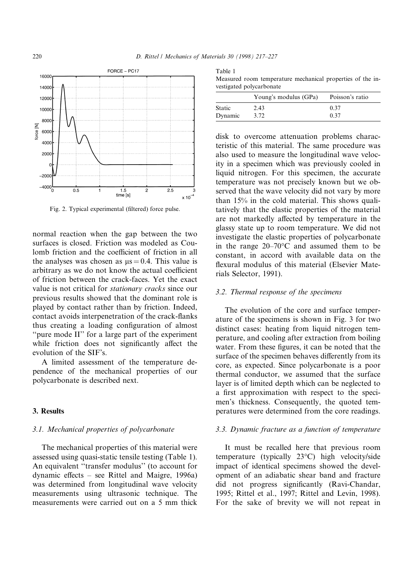

Fig. 2. Typical experimental (filtered) force pulse.

normal reaction when the gap between the two surfaces is closed. Friction was modeled as Coulomb friction and the coefficient of friction in all the analyses was chosen as  $\mu$ s = 0.4. This value is arbitrary as we do not know the actual coefficient of friction between the crack-faces. Yet the exact value is not critical for stationary cracks since our previous results showed that the dominant role is played by contact rather than by friction. Indeed, contact avoids interpenetration of the crack-flanks thus creating a loading configuration of almost ``pure mode II'' for a large part of the experiment while friction does not significantly affect the evolution of the SIF's.

A limited assessment of the temperature dependence of the mechanical properties of our polycarbonate is described next.

## 3. Results

#### 3.1. Mechanical properties of polycarbonate

The mechanical properties of this material were assessed using quasi-static tensile testing (Table 1). An equivalent "transfer modulus" (to account for dynamic effects  $-$  see Rittel and Maigre, 1996a) was determined from longitudinal wave velocity measurements using ultrasonic technique. The measurements were carried out on a 5 mm thick

| Table 1                                                    |  |  |
|------------------------------------------------------------|--|--|
| Measured room temperature mechanical properties of the in- |  |  |
| vestigated polycarbonate                                   |  |  |

|               | Young's modulus (GPa) | Poisson's ratio |
|---------------|-----------------------|-----------------|
| <b>Static</b> | 2.43                  | 0.37            |
| Dynamic       | 3.72                  | 0.37            |

disk to overcome attenuation problems characteristic of this material. The same procedure was also used to measure the longitudinal wave velocity in a specimen which was previously cooled in liquid nitrogen. For this specimen, the accurate temperature was not precisely known but we observed that the wave velocity did not vary by more than 15% in the cold material. This shows qualitatively that the elastic properties of the material are not markedly affected by temperature in the glassy state up to room temperature. We did not investigate the elastic properties of polycarbonate in the range  $20-70$ °C and assumed them to be constant, in accord with available data on the flexural modulus of this material (Elsevier Materials Selector, 1991).

## 3.2. Thermal response of the specimens

The evolution of the core and surface temperature of the specimens is shown in Fig. 3 for two distinct cases: heating from liquid nitrogen temperature, and cooling after extraction from boiling water. From these figures, it can be noted that the surface of the specimen behaves differently from its core, as expected. Since polycarbonate is a poor thermal conductor, we assumed that the surface layer is of limited depth which can be neglected to a first approximation with respect to the specimen's thickness. Consequently, the quoted temperatures were determined from the core readings.

### 3.3. Dynamic fracture as a function of temperature

It must be recalled here that previous room temperature (typically 23°C) high velocity/side impact of identical specimens showed the development of an adiabatic shear band and fracture did not progress significantly (Ravi-Chandar, 1995; Rittel et al., 1997; Rittel and Levin, 1998). For the sake of brevity we will not repeat in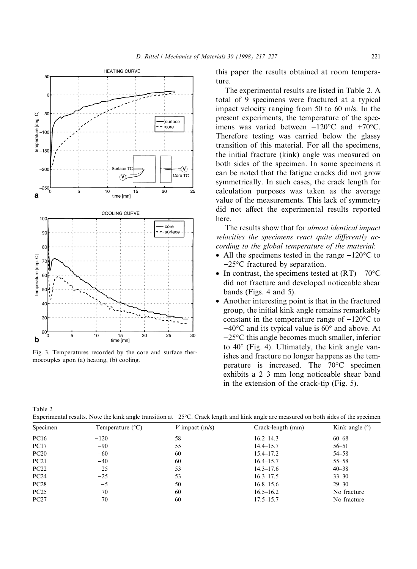

Fig. 3. Temperatures recorded by the core and surface thermocouples upon (a) heating, (b) cooling.

this paper the results obtained at room temperature.

The experimental results are listed in Table 2. A total of 9 specimens were fractured at a typical impact velocity ranging from 50 to 60 m/s. In the present experiments, the temperature of the specimens was varied between  $-120^{\circ}$ C and  $+70^{\circ}$ C. Therefore testing was carried below the glassy transition of this material. For all the specimens, the initial fracture (kink) angle was measured on both sides of the specimen. In some specimens it can be noted that the fatigue cracks did not grow symmetrically. In such cases, the crack length for calculation purposes was taken as the average value of the measurements. This lack of symmetry did not affect the experimental results reported here.

The results show that for almost identical impact velocities the specimens react quite differently according to the global temperature of the material:

- All the specimens tested in the range  $-120^{\circ}\text{C}$  to  $-25^{\circ}$ C fractured by separation.
- In contrast, the specimens tested at  $(RT) 70^{\circ}C$ did not fracture and developed noticeable shear bands (Figs. 4 and 5).
- Another interesting point is that in the fractured group, the initial kink angle remains remarkably constant in the temperature range of  $-120^{\circ}$ C to  $-40^{\circ}$ C and its typical value is 60 $^{\circ}$  and above. At  $-25^{\circ}$ C this angle becomes much smaller, inferior to 40° (Fig. 4). Ultimately, the kink angle vanishes and fracture no longer happens as the temperature is increased. The 70°C specimen exhibits a 2-3 mm long noticeable shear band in the extension of the crack-tip (Fig. 5).

Table 2 Experimental results. Note the kink angle transition at  $-25^{\circ}$ C. Crack length and kink angle are measured on both sides of the specimen

| Specimen    | Temperature $(^{\circ}C)$ | V impact $(m/s)$ | Crack-length (mm) | Kink angle $(°)$ |
|-------------|---------------------------|------------------|-------------------|------------------|
| <b>PC16</b> | $-120$                    | 58               | $16.2 - 14.3$     | $60 - 68$        |
| <b>PC17</b> | $-90$                     | 55               | $14.4 - 15.7$     | $56 - 51$        |
| PC20        | $-60$                     | 60               | $15.4 - 17.2$     | $54 - 58$        |
| PC21        | $-40$                     | 60               | $16.4 - 15.7$     | $55 - 58$        |
| PC22        | $-25$                     | 53               | $14.3 - 17.6$     | $40 - 38$        |
| PC24        | $-25$                     | 53               | $16.3 - 17.5$     | $33 - 30$        |
| PC28        | $-5$                      | 50               | $16.8 - 15.6$     | $29 - 30$        |
| PC25        | 70                        | 60               | $16.5 - 16.2$     | No fracture      |
| PC27        | 70                        | 60               | $17.5 - 15.7$     | No fracture      |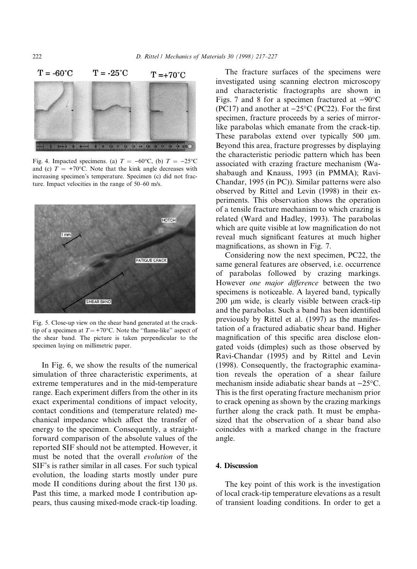

Fig. 4. Impacted specimens. (a)  $T = -60^{\circ}\text{C}$ , (b)  $T = -25^{\circ}\text{C}$ and (c)  $T = +70$ °C. Note that the kink angle decreases with increasing specimen's temperature. Specimen (c) did not fracture. Impact velocities in the range of  $50-60$  m/s.



Fig. 5. Close-up view on the shear band generated at the cracktip of a specimen at  $T = +70^{\circ}$ C. Note the "flame-like" aspect of the shear band. The picture is taken perpendicular to the specimen laying on millimetric paper.

In Fig. 6, we show the results of the numerical simulation of three characteristic experiments, at extreme temperatures and in the mid-temperature range. Each experiment differs from the other in its exact experimental conditions of impact velocity, contact conditions and (temperature related) mechanical impedance which affect the transfer of energy to the specimen. Consequently, a straightforward comparison of the absolute values of the reported SIF should not be attempted. However, it must be noted that the overall evolution of the SIF's is rather similar in all cases. For such typical evolution, the loading starts mostly under pure mode II conditions during about the first  $130 \mu s$ . Past this time, a marked mode I contribution appears, thus causing mixed-mode crack-tip loading.

The fracture surfaces of the specimens were investigated using scanning electron microscopy and characteristic fractographs are shown in Figs. 7 and 8 for a specimen fractured at  $-90^{\circ}$ C (PC17) and another at  $-25^{\circ}$ C (PC22). For the first specimen, fracture proceeds by a series of mirrorlike parabolas which emanate from the crack-tip. These parabolas extend over typically  $500 \mu m$ . Beyond this area, fracture progresses by displaying the characteristic periodic pattern which has been associated with crazing fracture mechanism (Washabaugh and Knauss, 1993 (in PMMA); Ravi-Chandar, 1995 (in PC)). Similar patterns were also observed by Rittel and Levin (1998) in their experiments. This observation shows the operation of a tensile fracture mechanism to which crazing is related (Ward and Hadley, 1993). The parabolas which are quite visible at low magnification do not reveal much significant features at much higher magnifications, as shown in Fig. 7.

Considering now the next specimen, PC22, the same general features are observed, i.e. occurrence of parabolas followed by crazing markings. However one major difference between the two specimens is noticeable. A layered band, typically 200 µm wide, is clearly visible between crack-tip and the parabolas. Such a band has been identified previously by Rittel et al. (1997) as the manifestation of a fractured adiabatic shear band. Higher magnification of this specific area disclose elongated voids (dimples) such as those observed by Ravi-Chandar (1995) and by Rittel and Levin (1998). Consequently, the fractographic examination reveals the operation of a shear failure mechanism inside adiabatic shear bands at  $-25^{\circ}$ C. This is the first operating fracture mechanism prior to crack opening as shown by the crazing markings further along the crack path. It must be emphasized that the observation of a shear band also coincides with a marked change in the fracture angle.

#### 4. Discussion

The key point of this work is the investigation of local crack-tip temperature elevations as a result of transient loading conditions. In order to get a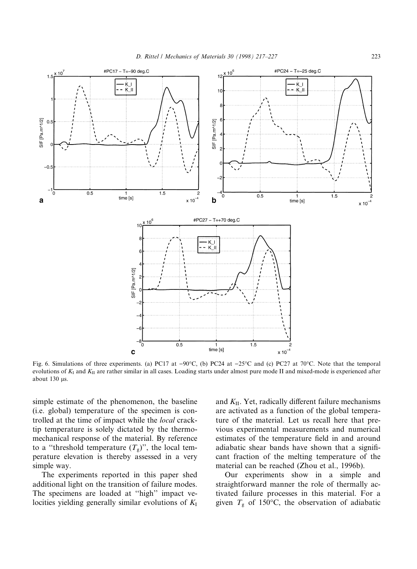

Fig. 6. Simulations of three experiments. (a) PC17 at  $-90^{\circ}$ C, (b) PC24 at  $-25^{\circ}$ C and (c) PC27 at 70°C. Note that the temporal evolutions of  $K_I$  and  $K_{II}$  are rather similar in all cases. Loading starts under almost pure mode II and mixed-mode is experienced after about  $130 \mu s$ .

simple estimate of the phenomenon, the baseline (i.e. global) temperature of the specimen is controlled at the time of impact while the local cracktip temperature is solely dictated by the thermomechanical response of the material. By reference to a "threshold temperature  $(T_g)$ ", the local temperature elevation is thereby assessed in a very simple way.

The experiments reported in this paper shed additional light on the transition of failure modes. The specimens are loaded at "high" impact velocities yielding generally similar evolutions of  $K_I$ 

and  $K_{II}$ . Yet, radically different failure mechanisms are activated as a function of the global temperature of the material. Let us recall here that previous experimental measurements and numerical estimates of the temperature field in and around adiabatic shear bands have shown that a significant fraction of the melting temperature of the material can be reached (Zhou et al., 1996b).

Our experiments show in a simple and straightforward manner the role of thermally activated failure processes in this material. For a given  $T_{\rm g}$  of 150°C, the observation of adiabatic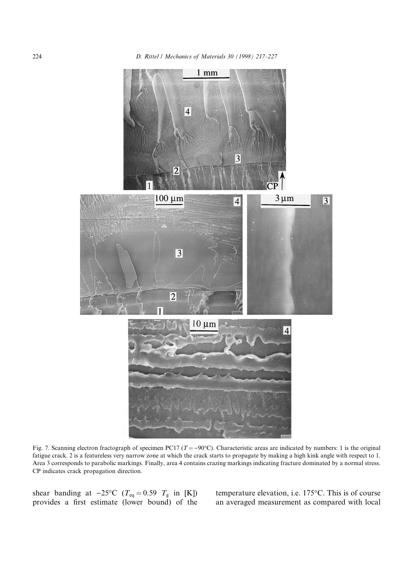

Fig. 7. Scanning electron fractograph of specimen PC17 ( $T = -90^{\circ}$ C). Characteristic areas are indicated by numbers: 1 is the original fatigue crack. 2 is a featureless very narrow zone at which the crack starts to propagate by making a high kink angle with respect to 1. Area 3 corresponds to parabolic markings. Finally, area 4 contains crazing markings indicating fracture dominated by a normal stress. CP indicates crack propagation direction.

shear banding at  $-25^{\circ}\text{C}$  ( $T_{\text{eq}} = 0.59$   $T_{\text{g}}$  in [K]) provides a first estimate (lower bound) of the temperature elevation, i.e. 175°C. This is of course an averaged measurement as compared with local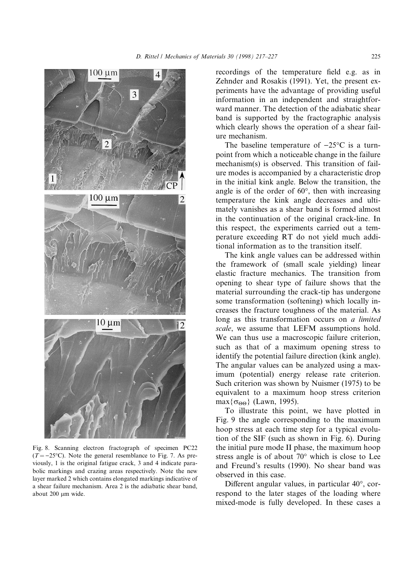

Fig. 8. Scanning electron fractograph of specimen PC22  $(T = -25$ °C). Note the general resemblance to Fig. 7. As previously, 1 is the original fatigue crack, 3 and 4 indicate parabolic markings and crazing areas respectively. Note the new layer marked 2 which contains elongated markings indicative of a shear failure mechanism. Area 2 is the adiabatic shear band, about 200 µm wide.

recordings of the temperature field e.g. as in Zehnder and Rosakis (1991). Yet, the present experiments have the advantage of providing useful information in an independent and straightforward manner. The detection of the adiabatic shear band is supported by the fractographic analysis which clearly shows the operation of a shear failure mechanism.

The baseline temperature of  $-25^{\circ}\text{C}$  is a turnpoint from which a noticeable change in the failure mechanism(s) is observed. This transition of failure modes is accompanied by a characteristic drop in the initial kink angle. Below the transition, the angle is of the order of 60°, then with increasing temperature the kink angle decreases and ultimately vanishes as a shear band is formed almost in the continuation of the original crack-line. In this respect, the experiments carried out a temperature exceeding RT do not yield much additional information as to the transition itself.

The kink angle values can be addressed within the framework of (small scale yielding) linear elastic fracture mechanics. The transition from opening to shear type of failure shows that the material surrounding the crack-tip has undergone some transformation (softening) which locally increases the fracture toughness of the material. As long as this transformation occurs on a limited scale, we assume that LEFM assumptions hold. We can thus use a macroscopic failure criterion, such as that of a maximum opening stress to identify the potential failure direction (kink angle). The angular values can be analyzed using a maximum (potential) energy release rate criterion. Such criterion was shown by Nuismer (1975) to be equivalent to a maximum hoop stress criterion  $\max{\lbrace \sigma_{\Theta\Theta} \rbrace}$  (Lawn, 1995).

To illustrate this point, we have plotted in Fig. 9 the angle corresponding to the maximum hoop stress at each time step for a typical evolution of the SIF (such as shown in Fig. 6). During the initial pure mode II phase, the maximum hoop stress angle is of about 70° which is close to Lee and Freund's results (1990). No shear band was observed in this case.

Different angular values, in particular  $40^{\circ}$ , correspond to the later stages of the loading where mixed-mode is fully developed. In these cases a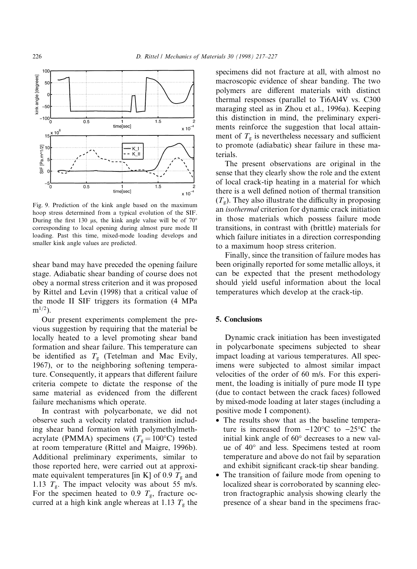

Fig. 9. Prediction of the kink angle based on the maximum hoop stress determined from a typical evolution of the SIF. During the first 130 µs, the kink angle value will be of  $70^{\circ}$ corresponding to local opening during almost pure mode II loading. Past this time, mixed-mode loading develops and smaller kink angle values are predicted.

shear band may have preceded the opening failure stage. Adiabatic shear banding of course does not obey a normal stress criterion and it was proposed by Rittel and Levin (1998) that a critical value of the mode II SIF triggers its formation (4 MPa  $m^{1/2}$ ).

Our present experiments complement the previous suggestion by requiring that the material be locally heated to a level promoting shear band formation and shear failure. This temperature can be identified as  $T<sub>g</sub>$  (Tetelman and Mac Evily, 1967), or to the neighboring softening temperature. Consequently, it appears that different failure criteria compete to dictate the response of the same material as evidenced from the different failure mechanisms which operate.

In contrast with polycarbonate, we did not observe such a velocity related transition including shear band formation with polymethylmethacrylate (PMMA) specimens ( $T_g = 100$ °C) tested at room temperature (Rittel and Maigre, 1996b). Additional preliminary experiments, similar to those reported here, were carried out at approximate equivalent temperatures [in K] of 0.9  $T_{\rm g}$  and 1.13  $T_{\rm g}$ . The impact velocity was about 55 m/s. For the specimen heated to 0.9  $T_{\rm g}$ , fracture occurred at a high kink angle whereas at 1.13  $T<sub>g</sub>$  the

specimens did not fracture at all, with almost no macroscopic evidence of shear banding. The two polymers are different materials with distinct thermal responses (parallel to Ti6Al4V vs. C300 maraging steel as in Zhou et al., 1996a). Keeping this distinction in mind, the preliminary experiments reinforce the suggestion that local attainment of  $T<sub>g</sub>$  is nevertheless necessary and sufficient to promote (adiabatic) shear failure in these materials.

The present observations are original in the sense that they clearly show the role and the extent of local crack-tip heating in a material for which there is a well defined notion of thermal transition  $(T<sub>g</sub>)$ . They also illustrate the difficulty in proposing an isothermal criterion for dynamic crack initiation in those materials which possess failure mode transitions, in contrast with (brittle) materials for which failure initiates in a direction corresponding to a maximum hoop stress criterion.

Finally, since the transition of failure modes has been originally reported for some metallic alloys, it can be expected that the present methodology should yield useful information about the local temperatures which develop at the crack-tip.

## 5. Conclusions

Dynamic crack initiation has been investigated in polycarbonate specimens subjected to shear impact loading at various temperatures. All specimens were subjected to almost similar impact velocities of the order of 60 m/s. For this experiment, the loading is initially of pure mode II type (due to contact between the crack faces) followed by mixed-mode loading at later stages (including a positive mode I component).

- The results show that as the baseline temperature is increased from  $-120^{\circ}$ C to  $-25^{\circ}$ C the initial kink angle of 60° decreases to a new value of 40° and less. Specimens tested at room temperature and above do not fail by separation and exhibit significant crack-tip shear banding.
- · The transition of failure mode from opening to localized shear is corroborated by scanning electron fractographic analysis showing clearly the presence of a shear band in the specimens frac-